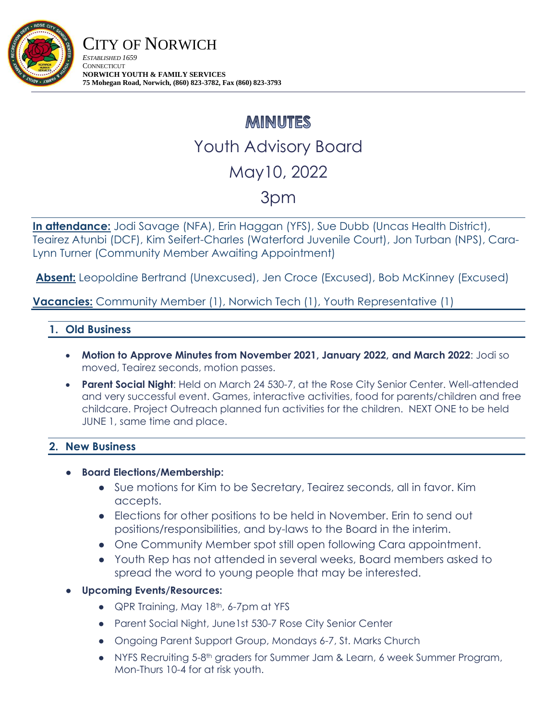

# **MINUTES** Youth Advisory Board May10, 2022 3pm

**In attendance:** Jodi Savage (NFA), Erin Haggan (YFS), Sue Dubb (Uncas Health District), Teairez Atunbi (DCF), Kim Seifert-Charles (Waterford Juvenile Court), Jon Turban (NPS), Cara-Lynn Turner (Community Member Awaiting Appointment)

**Absent:** Leopoldine Bertrand (Unexcused), Jen Croce (Excused), Bob McKinney (Excused)

**Vacancies:** Community Member (1), Norwich Tech (1), Youth Representative (1)

## **1. Old Business**

- **Motion to Approve Minutes from November 2021, January 2022, and March 2022**: Jodi so moved, Teairez seconds, motion passes.
- **Parent Social Night:** Held on March 24 530-7, at the Rose City Senior Center. Well-attended and very successful event. Games, interactive activities, food for parents/children and free childcare. Project Outreach planned fun activities for the children. NEXT ONE to be held JUNE 1, same time and place.

### **2. New Business**

- **Board Elections/Membership:** 
	- Sue motions for Kim to be Secretary, Teairez seconds, all in favor. Kim accepts.
	- Elections for other positions to be held in November. Erin to send out positions/responsibilities, and by-laws to the Board in the interim.
	- One Community Member spot still open following Cara appointment.
	- Youth Rep has not attended in several weeks, Board members asked to spread the word to young people that may be interested.
- **Upcoming Events/Resources:** 
	- QPR Training, May 18<sup>th</sup>, 6-7pm at YFS
	- Parent Social Night, June1st 530-7 Rose City Senior Center
	- Ongoing Parent Support Group, Mondays 6-7, St. Marks Church
	- NYFS Recruiting 5-8th graders for Summer Jam & Learn, 6 week Summer Program, Mon-Thurs 10-4 for at risk youth.